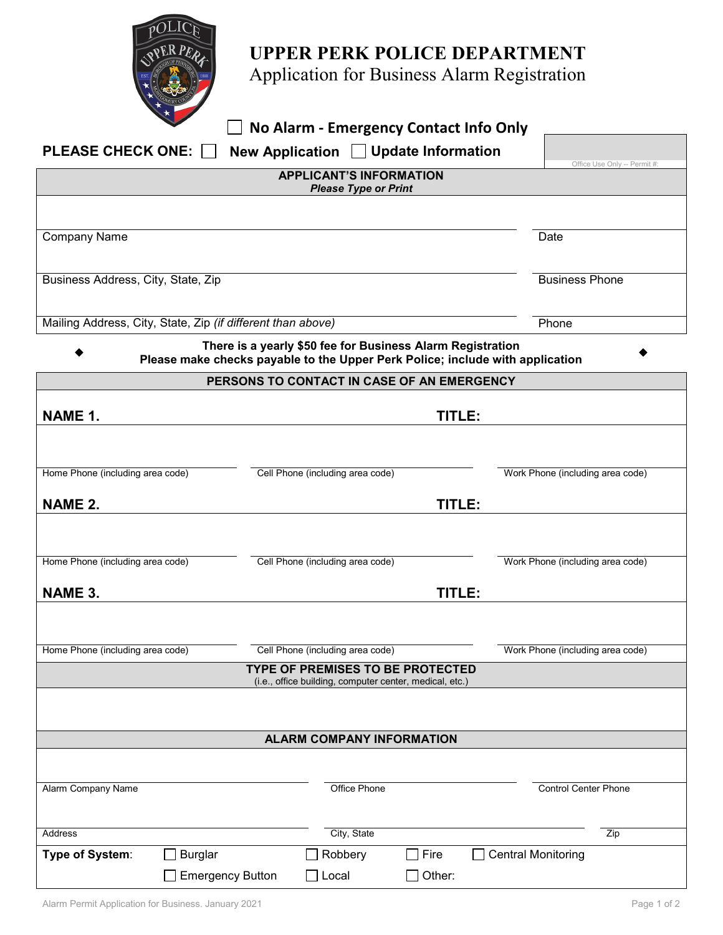

## **UPPER PERK POLICE DEPARTMENT**

Application for Business Alarm Registration

| □ No Alarm - Emergency Contact Info Only |
|------------------------------------------|
|------------------------------------------|

|                                                                |                         | No Alarm - Emergency Contact Info Only                                                                                                      |        |                                  |  |  |  |
|----------------------------------------------------------------|-------------------------|---------------------------------------------------------------------------------------------------------------------------------------------|--------|----------------------------------|--|--|--|
| <b>PLEASE CHECK ONE:</b>                                       |                         | New Application □ Update Information                                                                                                        |        |                                  |  |  |  |
| Office Use Only -- Permit #:<br><b>APPLICANT'S INFORMATION</b> |                         |                                                                                                                                             |        |                                  |  |  |  |
| <b>Please Type or Print</b>                                    |                         |                                                                                                                                             |        |                                  |  |  |  |
|                                                                |                         |                                                                                                                                             |        |                                  |  |  |  |
| <b>Company Name</b>                                            |                         |                                                                                                                                             |        | Date                             |  |  |  |
|                                                                |                         |                                                                                                                                             |        |                                  |  |  |  |
| Business Address, City, State, Zip                             |                         |                                                                                                                                             |        | <b>Business Phone</b>            |  |  |  |
|                                                                |                         |                                                                                                                                             |        |                                  |  |  |  |
| Mailing Address, City, State, Zip (if different than above)    |                         |                                                                                                                                             |        | Phone                            |  |  |  |
|                                                                |                         | There is a yearly \$50 fee for Business Alarm Registration<br>Please make checks payable to the Upper Perk Police; include with application |        |                                  |  |  |  |
|                                                                |                         | PERSONS TO CONTACT IN CASE OF AN EMERGENCY                                                                                                  |        |                                  |  |  |  |
|                                                                |                         |                                                                                                                                             |        |                                  |  |  |  |
| NAME 1.                                                        |                         | TITLE:                                                                                                                                      |        |                                  |  |  |  |
|                                                                |                         |                                                                                                                                             |        |                                  |  |  |  |
| Home Phone (including area code)                               |                         | Cell Phone (including area code)                                                                                                            |        | Work Phone (including area code) |  |  |  |
|                                                                |                         |                                                                                                                                             |        |                                  |  |  |  |
| <b>NAME 2.</b>                                                 |                         | TITLE:                                                                                                                                      |        |                                  |  |  |  |
|                                                                |                         |                                                                                                                                             |        |                                  |  |  |  |
| Home Phone (including area code)                               |                         | Cell Phone (including area code)                                                                                                            |        | Work Phone (including area code) |  |  |  |
|                                                                |                         |                                                                                                                                             |        |                                  |  |  |  |
| <b>NAME 3.</b>                                                 | TITLE:                  |                                                                                                                                             |        |                                  |  |  |  |
|                                                                |                         |                                                                                                                                             |        |                                  |  |  |  |
| Home Phone (including area code)                               |                         | Cell Phone (including area code)                                                                                                            |        | Work Phone (including area code) |  |  |  |
| TYPE OF PREMISES TO BE PROTECTED                               |                         |                                                                                                                                             |        |                                  |  |  |  |
|                                                                |                         | (i.e., office building, computer center, medical, etc.)                                                                                     |        |                                  |  |  |  |
|                                                                |                         |                                                                                                                                             |        |                                  |  |  |  |
|                                                                |                         | <b>ALARM COMPANY INFORMATION</b>                                                                                                            |        |                                  |  |  |  |
|                                                                |                         |                                                                                                                                             |        |                                  |  |  |  |
| Alarm Company Name                                             |                         | <b>Office Phone</b>                                                                                                                         |        | <b>Control Center Phone</b>      |  |  |  |
|                                                                |                         |                                                                                                                                             |        |                                  |  |  |  |
| Address                                                        |                         | City, State                                                                                                                                 |        | Zip                              |  |  |  |
| Type of System:                                                | <b>Burglar</b>          | Robbery<br>$\Box$ Fire                                                                                                                      |        | <b>Central Monitoring</b>        |  |  |  |
|                                                                | <b>Emergency Button</b> | $\square$ Local<br>$\bigcup$                                                                                                                | Other: |                                  |  |  |  |